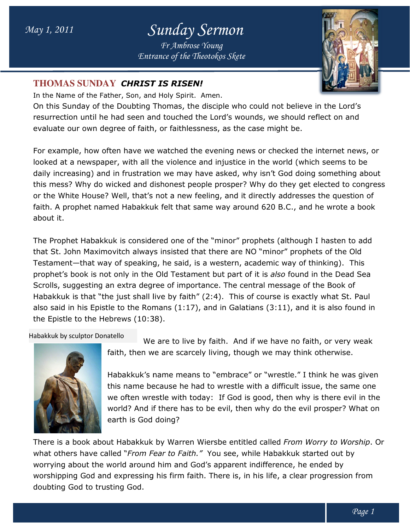## May 1, 2011 Sunda Sunday Sermon

Entrance of the Theotokos Skete Fr Ambrose Young



## **THOMAS SUNDAY** CHRIST IS RISEN!

In the Name of the Father, Son, and Holy Spirit. Amen.

On this Sunday of the Doubting Thomas, the disciple who could not believe in the Lord's On this Sunday of the Doubting Thomas, the disciple who could not believe in the Lord's<br>resurrection until he had seen and touched the Lord's wounds, we should reflect on and evaluate our own degree of faith, or faithlessness, as the case might be.

For example, how often have we watched the evening news or checked the internet news, or looked at a newspaper, with all the violence and injustice in the world (which seems to be daily increasing) and in frustration we may have asked, why isn't God doing something about this mess? Why do wicked and dishonest people prosper? Why do they get elected to congress or the White House? Well, that's not a new feeling, and it directly addresses the question of faith. A prophet named Habakkuk felt that same way around 620 B.C., and he wrote a book about it. evaluate our own degree of faith, or faithlessness, as the case might be.<br>For example, how often have we watched the evening news or checked the internet news, c<br>looked at a newspaper, with all the violence and injustice i

The Prophet Habakkuk is considered one of the "minor" prophets (although I hasten to add that St. John Maximovitch always insisted that there are NO "minor" prophets of the Old The Prophet Habakkuk is considered one of the "minor" prophets (although I hasten to add<br>that St. John Maximovitch always insisted that there are NO "minor" prophets of the Old<br>Testament—that way of speaking, he said, is a prophet's book is not only in the Old Testament but part of it is also found in the Dead Sea Scrolls, suggesting an extra degree of importance. The central message of the Book of Habakkuk is that "the just shall live by faith" (2:4). This of course is exactly what St. Paul also said in his Epistle to the Romans (1:17), and in Galatians (3:11), and it is also found in<br>the Epistle to the Hebrews (10:38).<br>abakkuk by sculptor Donatello We are to live by faith. And if we have no faith, or very we the Epistle to the Hebrews (10:38).

Habakkuk by sculptor Donatello



We are to live by faith. And if we have no faith, or very weak faith, then we are scarcely living, though we may think otherwise.

faith, then we are scarcely living, though we may think otherwise.<br>Habakkuk's name means to "embrace" or "wrestle." I think he was given this name because he had to wrestle with a difficult issue, the same one this name because he had to wrestle with a difficult issue, the same one<br>we often wrestle with today: If God is good, then why is there evil in the world? And if there has to be evil, then why do the evil prosper? What on earth is God doing? ve by faith" (2:4). This of course is exactly what St. Paul<br>aans (1:17), and in Galatians (3:11), and it is also found in<br>3).<br>are to live by faith. And if we have no faith, or very weak<br>e are scarcely living, though we may

There is a book about Habakkuk by Warren Wiersbe entitled called From Worry to Worship what others have called "*From Fear to Faith."* You see, while Habakkuk started out by what others have called "*From Fear to Faith."* You see, while Habakkuk started out by<br>worrying about the world around him and God's apparent indifference, he ended by worshipping God and expressing his firm faith. There is, in his life, a clear progression from doubting God to trusting God.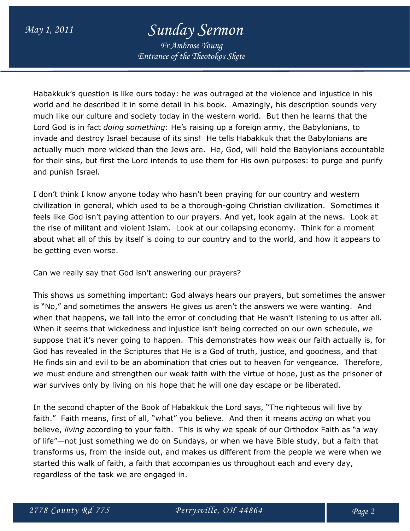## May 1, 2011 Sunday Sermon

Fr Ambrose Young Entrance of the Theotokos Skete

Habakkuk's question is like ours today: he was outraged at the violence and injustice in his world and he described it in some detail in his book. Amazingly, his description sounds very much like our culture and society today in the western world. But then he learns that the Lord God is in fact *doing something*: He's raising up a foreign army, the Babylonians, to invade and destroy Israel because of its sins! He tells Habakkuk that the Babylonians are actually much more wicked than the Jews are. He, God, will hold the Babylonians accountable for their sins, but first the Lord intends to use them for His own purposes: to purge and purify and punish Israel.

I don't think I know anyone today who hasn't been praying for our country and western civilization in general, which used to be a thorough-going Christian civilization. Sometimes it feels like God isn't paying attention to our prayers. And yet, look again at the news. Look at the rise of militant and violent Islam. Look at our collapsing economy. Think for a moment about what all of this by itself is doing to our country and to the world, and how it appears to be getting even worse.

Can we really say that God isn't answering our prayers?

This shows us something important: God always hears our prayers, but sometimes the answer is "No," and sometimes the answers He gives us aren't the answers we were wanting. And when that happens, we fall into the error of concluding that He wasn't listening to us after all. When it seems that wickedness and injustice isn't being corrected on our own schedule, we suppose that it's never going to happen. This demonstrates how weak our faith actually is, for God has revealed in the Scriptures that He is a God of truth, justice, and goodness, and that He finds sin and evil to be an abomination that cries out to heaven for vengeance. Therefore, we must endure and strengthen our weak faith with the virtue of hope, just as the prisoner of war survives only by living on his hope that he will one day escape or be liberated.

In the second chapter of the Book of Habakkuk the Lord says, "The righteous will live by faith." Faith means, first of all, "what" you believe. And then it means *acting* on what you believe, *living* according to your faith. This is why we speak of our Orthodox Faith as "a way of life"—not just something we do on Sundays, or when we have Bible study, but a faith that transforms us, from the inside out, and makes us different from the people we were when we started this walk of faith, a faith that accompanies us throughout each and every day, regardless of the task we are engaged in.